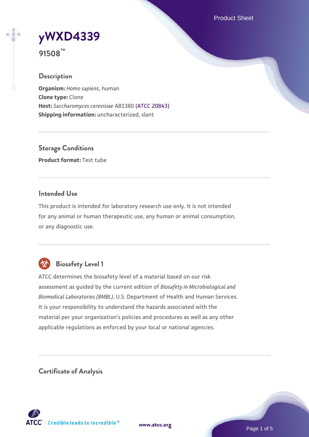Product Sheet

# **[yWXD4339](https://www.atcc.org/products/91508)**

**91508™**

## **Description**

**Organism:** *Homo sapiens*, human **Clone type:** Clone **Host:** *Saccharomyces cerevisiae* AB1380 [\(ATCC 20843\)](https://www.atcc.org/products/20843) **Shipping information:** uncharacterized, slant

**Storage Conditions Product format:** Test tube

## **Intended Use**

This product is intended for laboratory research use only. It is not intended for any animal or human therapeutic use, any human or animal consumption, or any diagnostic use.



# **Biosafety Level 1**

ATCC determines the biosafety level of a material based on our risk assessment as guided by the current edition of *Biosafety in Microbiological and Biomedical Laboratories (BMBL)*, U.S. Department of Health and Human Services. It is your responsibility to understand the hazards associated with the material per your organization's policies and procedures as well as any other applicable regulations as enforced by your local or national agencies.

**Certificate of Analysis**

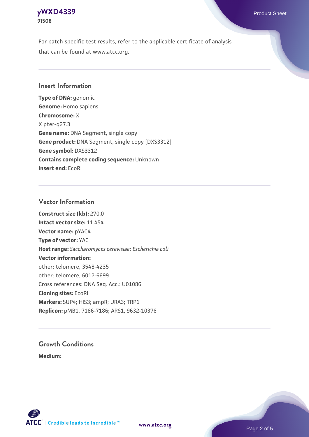## **[yWXD4339](https://www.atcc.org/products/91508)** Product Sheet **91508**

For batch-specific test results, refer to the applicable certificate of analysis that can be found at www.atcc.org.

## **Insert Information**

**Type of DNA:** genomic **Genome:** Homo sapiens **Chromosome:** X X pter-q27.3 **Gene name:** DNA Segment, single copy **Gene product:** DNA Segment, single copy [DXS3312] **Gene symbol:** DXS3312 **Contains complete coding sequence:** Unknown **Insert end:** EcoRI

## **Vector Information**

**Construct size (kb):** 270.0 **Intact vector size:** 11.454 **Vector name:** pYAC4 **Type of vector:** YAC **Host range:** *Saccharomyces cerevisiae*; *Escherichia coli* **Vector information:** other: telomere, 3548-4235 other: telomere, 6012-6699 Cross references: DNA Seq. Acc.: U01086 **Cloning sites:** EcoRI **Markers:** SUP4; HIS3; ampR; URA3; TRP1 **Replicon:** pMB1, 7186-7186; ARS1, 9632-10376

# **Growth Conditions**

**Medium:** 



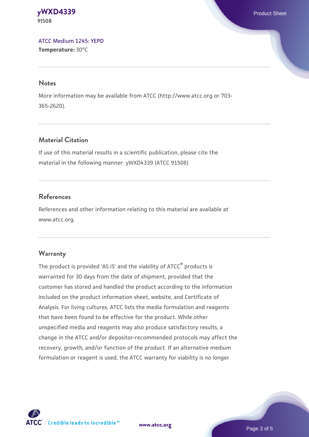#### **[yWXD4339](https://www.atcc.org/products/91508)** Product Sheet **91508**

[ATCC Medium 1245: YEPD](https://www.atcc.org/-/media/product-assets/documents/microbial-media-formulations/1/2/4/5/atcc-medium-1245.pdf?rev=705ca55d1b6f490a808a965d5c072196) **Temperature:** 30°C

#### **Notes**

More information may be available from ATCC (http://www.atcc.org or 703- 365-2620).

## **Material Citation**

If use of this material results in a scientific publication, please cite the material in the following manner: yWXD4339 (ATCC 91508)

## **References**

References and other information relating to this material are available at www.atcc.org.

## **Warranty**

The product is provided 'AS IS' and the viability of ATCC® products is warranted for 30 days from the date of shipment, provided that the customer has stored and handled the product according to the information included on the product information sheet, website, and Certificate of Analysis. For living cultures, ATCC lists the media formulation and reagents that have been found to be effective for the product. While other unspecified media and reagents may also produce satisfactory results, a change in the ATCC and/or depositor-recommended protocols may affect the recovery, growth, and/or function of the product. If an alternative medium formulation or reagent is used, the ATCC warranty for viability is no longer

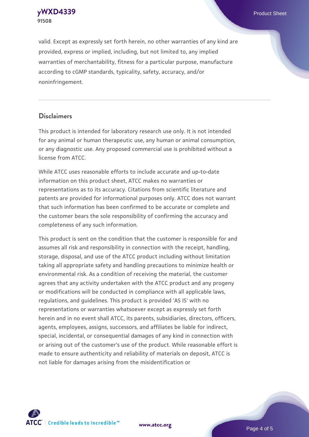**[yWXD4339](https://www.atcc.org/products/91508)** Product Sheet **91508**

valid. Except as expressly set forth herein, no other warranties of any kind are provided, express or implied, including, but not limited to, any implied warranties of merchantability, fitness for a particular purpose, manufacture according to cGMP standards, typicality, safety, accuracy, and/or noninfringement.

#### **Disclaimers**

This product is intended for laboratory research use only. It is not intended for any animal or human therapeutic use, any human or animal consumption, or any diagnostic use. Any proposed commercial use is prohibited without a license from ATCC.

While ATCC uses reasonable efforts to include accurate and up-to-date information on this product sheet, ATCC makes no warranties or representations as to its accuracy. Citations from scientific literature and patents are provided for informational purposes only. ATCC does not warrant that such information has been confirmed to be accurate or complete and the customer bears the sole responsibility of confirming the accuracy and completeness of any such information.

This product is sent on the condition that the customer is responsible for and assumes all risk and responsibility in connection with the receipt, handling, storage, disposal, and use of the ATCC product including without limitation taking all appropriate safety and handling precautions to minimize health or environmental risk. As a condition of receiving the material, the customer agrees that any activity undertaken with the ATCC product and any progeny or modifications will be conducted in compliance with all applicable laws, regulations, and guidelines. This product is provided 'AS IS' with no representations or warranties whatsoever except as expressly set forth herein and in no event shall ATCC, its parents, subsidiaries, directors, officers, agents, employees, assigns, successors, and affiliates be liable for indirect, special, incidental, or consequential damages of any kind in connection with or arising out of the customer's use of the product. While reasonable effort is made to ensure authenticity and reliability of materials on deposit, ATCC is not liable for damages arising from the misidentification or



**[www.atcc.org](http://www.atcc.org)**

Page 4 of 5